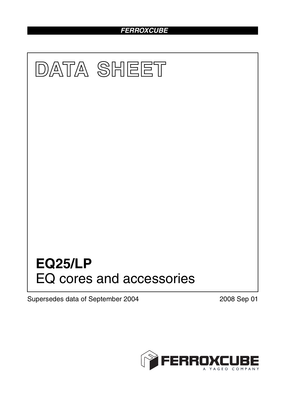# *FERROXCUBE*



Supersedes data of September 2004 2008 Sep 01

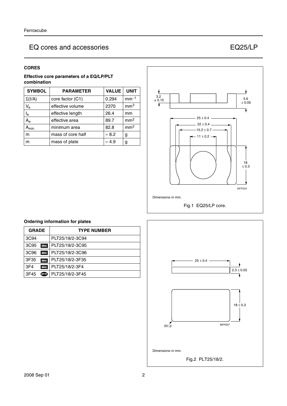# EQ cores and accessories EQ25/LP

#### **CORES**

#### **Effective core parameters of a EQ/LP/PLT combination**

| <b>SYMBOL</b>             | <b>PARAMETER</b>  | <b>VALUE</b>  | <b>UNIT</b>     |
|---------------------------|-------------------|---------------|-----------------|
| $\Sigma(I/A)$             | core factor (C1)  | 0.294         | $mm-1$          |
| $\mathsf{V}_{\mathsf{e}}$ | effective volume  | 2370          | mm <sup>3</sup> |
| $\mathsf{I}_\mathsf{e}$   | effective length  | 26.4          | mm              |
| $A_{\rm e}$               | effective area    | 89.7          | mm <sup>2</sup> |
| $A_{min}$                 | minimum area      | 82.8          | mm <sup>2</sup> |
| m                         | mass of core half | $\approx 8.2$ | g               |
| m                         | mass of plate     | $\approx 4.9$ | g               |



## **Ordering information for plates GRADE TYPE NUMBER** 3C94 PLT25/18/2-3C94 3C95 des PLT25/18/2-3C95 3C96 des PLT25/18/2-3C96 3F35 des PLT25/18/2-3F35 3F4 PLT25/18/2-3F4 3F45 **D** PLT25/18/2-3F45



# 2008 Sep 01 2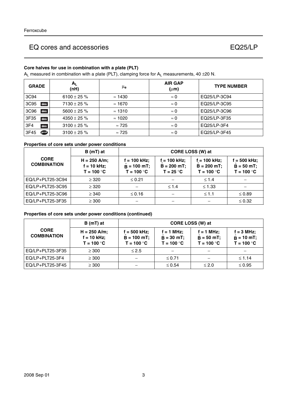# EQ cores and accessories EQ25/LP

### **Core halves for use in combination with a plate (PLT)**

 $A_L$  measured in combination with a plate (PLT), clamping force for  $A_L$  measurements, 40 ±20 N.

| <b>GRADE</b>            | $A_{L}$<br>(nH)  | μe             | <b>AIR GAP</b><br>$(\mu m)$ | <b>TYPE NUMBER</b> |
|-------------------------|------------------|----------------|-----------------------------|--------------------|
| 3C94                    | 6100 ± 25 $%$    | $\approx$ 1430 | $\approx 0$                 | EQ25/LP-3C94       |
| 3C95<br>des             | $7130 \pm 25 \%$ | $\approx$ 1670 | $\approx 0$                 | EQ25/LP-3C95       |
| 3C <sub>96</sub><br>des | $5600 \pm 25 \%$ | $\approx$ 1310 | $\approx 0$                 | EQ25/LP-3C96       |
| 3F35<br>des             | $4350 \pm 25 \%$ | $\approx$ 1020 | $\approx 0$                 | EQ25/LP-3F35       |
| 3F4<br>des              | $3100 \pm 25 \%$ | $\approx 725$  | $\approx 0$                 | EQ25/LP-3F4        |
| 3F45<br>ை               | $3100 \pm 25 \%$ | $\approx 725$  | $\approx 0$                 | EQ25/LP-3F45       |

#### **Properties of core sets under power conditions**

|                                   | B (mT) at                                       | CORE LOSS (W) at                              |                                              |                                                  |                                                 |
|-----------------------------------|-------------------------------------------------|-----------------------------------------------|----------------------------------------------|--------------------------------------------------|-------------------------------------------------|
| <b>CORE</b><br><b>COMBINATION</b> | $H = 250$ A/m;<br>$f = 10$ kHz;<br>$T = 100 °C$ | f = 100 kHz;<br>$B = 100$ mT;<br>$T = 100 °C$ | f = 100 kHz;<br>$B = 200 mT;$<br>$T = 25 °C$ | $f = 100$ kHz;<br>$B = 200 mT$ ;<br>$T = 100 °C$ | $f = 500$ kHz;<br>$B = 50 mT$ ;<br>$T = 100 °C$ |
| EQ/LP+PLT25-3C94                  | $\geq$ 320                                      | $\leq 0.21$                                   |                                              | $\leq 1.4$                                       |                                                 |
| EQ/LP+PLT25-3C95                  | $\geq$ 320                                      |                                               | $\leq 1.4$                                   | $\leq 1.33$                                      |                                                 |
| EQ/LP+PLT25-3C96                  | $\geq$ 340                                      | $\leq$ 0.16                                   |                                              | $\leq 1.1$                                       | $\leq 0.89$                                     |
| EQ/LP+PLT25-3F35                  | $\geq 300$                                      |                                               |                                              |                                                  | $\leq 0.32$                                     |

#### **Properties of core sets under power conditions (continued)**

|                                   | B (mT) at                                       | <b>CORE LOSS (W) at</b>                       |                                              |                                               |                                                     |
|-----------------------------------|-------------------------------------------------|-----------------------------------------------|----------------------------------------------|-----------------------------------------------|-----------------------------------------------------|
| <b>CORE</b><br><b>COMBINATION</b> | $H = 250$ A/m;<br>$f = 10$ kHz;<br>$T = 100 °C$ | f = 500 kHz;<br>$B = 100$ mT;<br>$T = 100 °C$ | $f = 1$ MHz:<br>$B = 30$ mT;<br>$T = 100 °C$ | $f = 1$ MHz;<br>$B = 50 mT$ ;<br>$T = 100 °C$ | $f = 3 MHz$ ;<br>$\hat{B} = 10$ mT;<br>$T = 100 °C$ |
| EQ/LP+PLT25-3F35                  | $\geq 300$                                      | $\leq 2.5$                                    | $\overline{\phantom{0}}$                     |                                               |                                                     |
| EQ/LP+PLT25-3F4                   | $\geq 300$                                      |                                               | $\leq 0.71$                                  |                                               | $≤ 1.14$                                            |
| EQ/LP+PLT25-3F45                  | $\geq 300$                                      |                                               | $\leq 0.54$                                  | $\leq 2.0$                                    | $\leq 0.95$                                         |